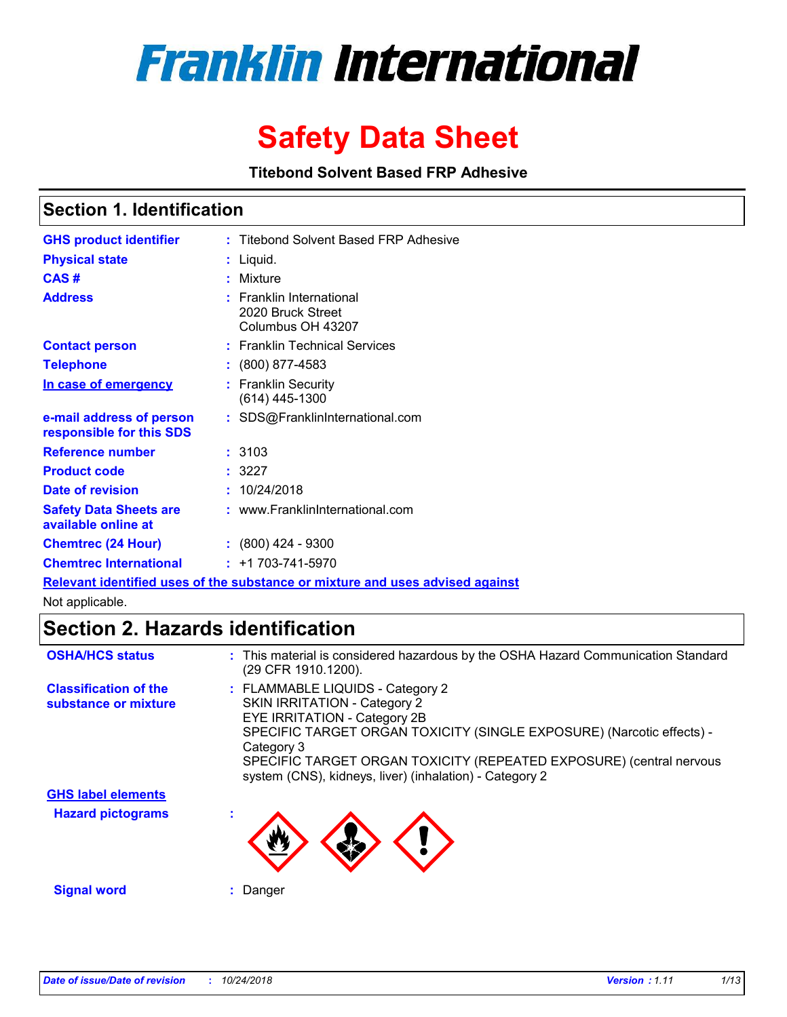

# **Safety Data Sheet**

**Titebond Solvent Based FRP Adhesive**

### **Section 1. Identification**

| <b>GHS product identifier</b>                        | : Titebond Solvent Based FRP Adhesive                              |
|------------------------------------------------------|--------------------------------------------------------------------|
| <b>Physical state</b>                                | $:$ Liquid.                                                        |
| CAS#                                                 | : Mixture                                                          |
| <b>Address</b>                                       | : Franklin International<br>2020 Bruck Street<br>Columbus OH 43207 |
| <b>Contact person</b>                                | : Franklin Technical Services                                      |
| <b>Telephone</b>                                     | $: (800) 877 - 4583$                                               |
| In case of emergency                                 | : Franklin Security<br>(614) 445-1300                              |
| e-mail address of person<br>responsible for this SDS | : SDS@FranklinInternational.com                                    |
| Reference number                                     | : 3103                                                             |
| <b>Product code</b>                                  | : 3227                                                             |
| Date of revision                                     | : 10/24/2018                                                       |
| <b>Safety Data Sheets are</b><br>available online at | : www.FranklinInternational.com                                    |
| <b>Chemtrec (24 Hour)</b>                            | $\div$ (800) 424 - 9300                                            |
| <b>Chemtrec International</b>                        | $: +1703 - 741 - 5970$                                             |
|                                                      |                                                                    |

**Relevant identified uses of the substance or mixture and uses advised against**

Not applicable.

### **Section 2. Hazards identification**

| <b>OSHA/HCS status</b>                               | : This material is considered hazardous by the OSHA Hazard Communication Standard<br>(29 CFR 1910.1200).                                                                                                                                                                                                                         |
|------------------------------------------------------|----------------------------------------------------------------------------------------------------------------------------------------------------------------------------------------------------------------------------------------------------------------------------------------------------------------------------------|
| <b>Classification of the</b><br>substance or mixture | : FLAMMABLE LIQUIDS - Category 2<br><b>SKIN IRRITATION - Category 2</b><br>EYE IRRITATION - Category 2B<br>SPECIFIC TARGET ORGAN TOXICITY (SINGLE EXPOSURE) (Narcotic effects) -<br>Category 3<br>SPECIFIC TARGET ORGAN TOXICITY (REPEATED EXPOSURE) (central nervous<br>system (CNS), kidneys, liver) (inhalation) - Category 2 |
| <b>GHS label elements</b>                            |                                                                                                                                                                                                                                                                                                                                  |
| <b>Hazard pictograms</b>                             |                                                                                                                                                                                                                                                                                                                                  |
| <b>Signal word</b>                                   | Danger                                                                                                                                                                                                                                                                                                                           |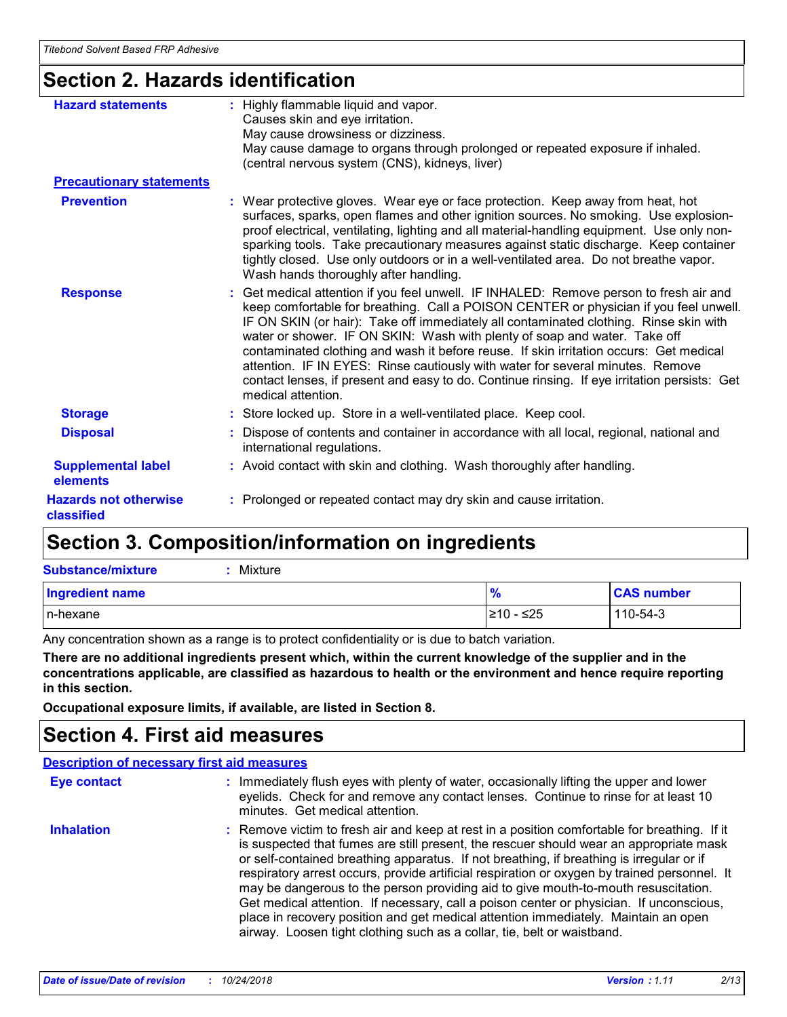## **Section 2. Hazards identification**

| <b>Hazard statements</b>                   | : Highly flammable liquid and vapor.<br>Causes skin and eye irritation.<br>May cause drowsiness or dizziness.<br>May cause damage to organs through prolonged or repeated exposure if inhaled.<br>(central nervous system (CNS), kidneys, liver)                                                                                                                                                                                                                                                                                                                                                                                                        |
|--------------------------------------------|---------------------------------------------------------------------------------------------------------------------------------------------------------------------------------------------------------------------------------------------------------------------------------------------------------------------------------------------------------------------------------------------------------------------------------------------------------------------------------------------------------------------------------------------------------------------------------------------------------------------------------------------------------|
| <b>Precautionary statements</b>            |                                                                                                                                                                                                                                                                                                                                                                                                                                                                                                                                                                                                                                                         |
| <b>Prevention</b>                          | : Wear protective gloves. Wear eye or face protection. Keep away from heat, hot<br>surfaces, sparks, open flames and other ignition sources. No smoking. Use explosion-<br>proof electrical, ventilating, lighting and all material-handling equipment. Use only non-<br>sparking tools. Take precautionary measures against static discharge. Keep container<br>tightly closed. Use only outdoors or in a well-ventilated area. Do not breathe vapor.<br>Wash hands thoroughly after handling.                                                                                                                                                         |
| <b>Response</b>                            | : Get medical attention if you feel unwell. IF INHALED: Remove person to fresh air and<br>keep comfortable for breathing. Call a POISON CENTER or physician if you feel unwell.<br>IF ON SKIN (or hair): Take off immediately all contaminated clothing. Rinse skin with<br>water or shower. IF ON SKIN: Wash with plenty of soap and water. Take off<br>contaminated clothing and wash it before reuse. If skin irritation occurs: Get medical<br>attention. IF IN EYES: Rinse cautiously with water for several minutes. Remove<br>contact lenses, if present and easy to do. Continue rinsing. If eye irritation persists: Get<br>medical attention. |
| <b>Storage</b>                             | : Store locked up. Store in a well-ventilated place. Keep cool.                                                                                                                                                                                                                                                                                                                                                                                                                                                                                                                                                                                         |
| <b>Disposal</b>                            | : Dispose of contents and container in accordance with all local, regional, national and<br>international regulations.                                                                                                                                                                                                                                                                                                                                                                                                                                                                                                                                  |
| <b>Supplemental label</b><br>elements      | : Avoid contact with skin and clothing. Wash thoroughly after handling.                                                                                                                                                                                                                                                                                                                                                                                                                                                                                                                                                                                 |
| <b>Hazards not otherwise</b><br>classified | : Prolonged or repeated contact may dry skin and cause irritation.                                                                                                                                                                                                                                                                                                                                                                                                                                                                                                                                                                                      |

## **Section 3. Composition/information on ingredients**

| <b>Substance/mixture</b><br>Mixture |               |                   |
|-------------------------------------|---------------|-------------------|
| <b>Ingredient name</b>              | $\frac{9}{6}$ | <b>CAS number</b> |
| In-hexane                           | I≥10 - ≤25    | 110-54-3          |

Any concentration shown as a range is to protect confidentiality or is due to batch variation.

**There are no additional ingredients present which, within the current knowledge of the supplier and in the concentrations applicable, are classified as hazardous to health or the environment and hence require reporting in this section.**

**Occupational exposure limits, if available, are listed in Section 8.**

### **Section 4. First aid measures**

#### **Description of necessary first aid measures**

| <b>Eye contact</b> | : Immediately flush eyes with plenty of water, occasionally lifting the upper and lower<br>eyelids. Check for and remove any contact lenses. Continue to rinse for at least 10<br>minutes. Get medical attention.                                                                                                                                                                                                                                                                                                                                                                                                                                                                                                                    |
|--------------------|--------------------------------------------------------------------------------------------------------------------------------------------------------------------------------------------------------------------------------------------------------------------------------------------------------------------------------------------------------------------------------------------------------------------------------------------------------------------------------------------------------------------------------------------------------------------------------------------------------------------------------------------------------------------------------------------------------------------------------------|
| <b>Inhalation</b>  | : Remove victim to fresh air and keep at rest in a position comfortable for breathing. If it<br>is suspected that fumes are still present, the rescuer should wear an appropriate mask<br>or self-contained breathing apparatus. If not breathing, if breathing is irregular or if<br>respiratory arrest occurs, provide artificial respiration or oxygen by trained personnel. It<br>may be dangerous to the person providing aid to give mouth-to-mouth resuscitation.<br>Get medical attention. If necessary, call a poison center or physician. If unconscious,<br>place in recovery position and get medical attention immediately. Maintain an open<br>airway. Loosen tight clothing such as a collar, tie, belt or waistband. |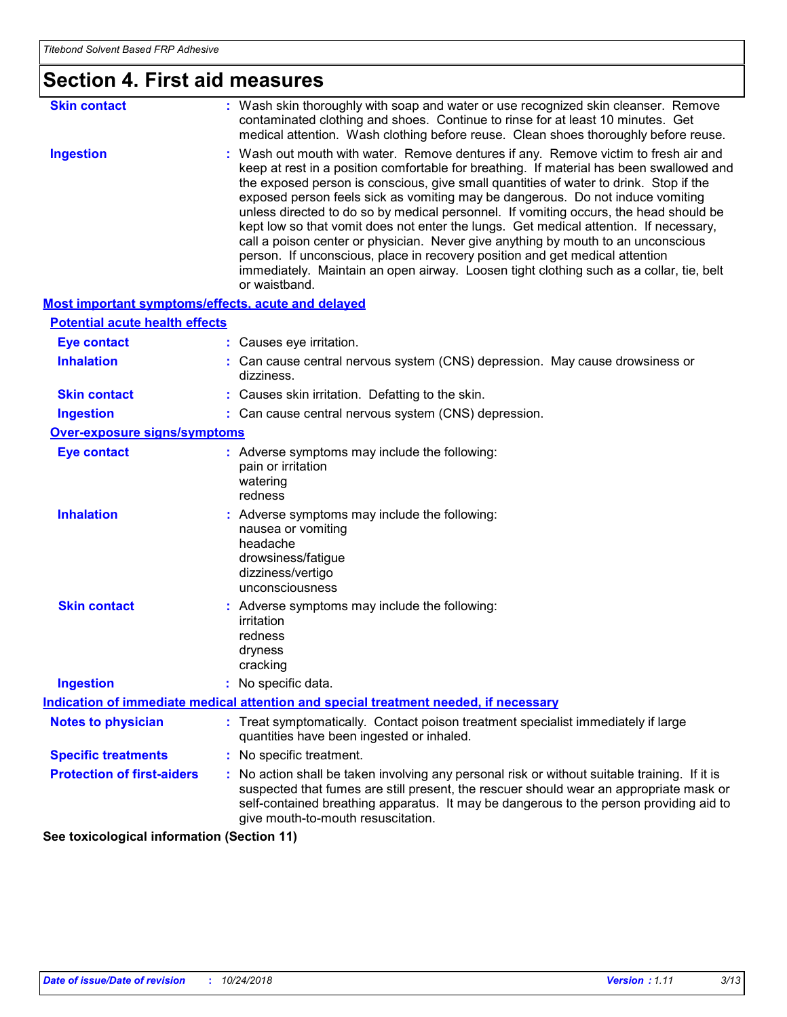| <b>Section 4. First aid measures</b>                      |                                                                                                                                                                                                                                                                                                                                                                                                                                                                                                                                                                                                                                                                                                                                                                                                                               |  |
|-----------------------------------------------------------|-------------------------------------------------------------------------------------------------------------------------------------------------------------------------------------------------------------------------------------------------------------------------------------------------------------------------------------------------------------------------------------------------------------------------------------------------------------------------------------------------------------------------------------------------------------------------------------------------------------------------------------------------------------------------------------------------------------------------------------------------------------------------------------------------------------------------------|--|
| <b>Skin contact</b>                                       | : Wash skin thoroughly with soap and water or use recognized skin cleanser. Remove<br>contaminated clothing and shoes. Continue to rinse for at least 10 minutes. Get<br>medical attention. Wash clothing before reuse. Clean shoes thoroughly before reuse.                                                                                                                                                                                                                                                                                                                                                                                                                                                                                                                                                                  |  |
| <b>Ingestion</b>                                          | : Wash out mouth with water. Remove dentures if any. Remove victim to fresh air and<br>keep at rest in a position comfortable for breathing. If material has been swallowed and<br>the exposed person is conscious, give small quantities of water to drink. Stop if the<br>exposed person feels sick as vomiting may be dangerous. Do not induce vomiting<br>unless directed to do so by medical personnel. If vomiting occurs, the head should be<br>kept low so that vomit does not enter the lungs. Get medical attention. If necessary,<br>call a poison center or physician. Never give anything by mouth to an unconscious<br>person. If unconscious, place in recovery position and get medical attention<br>immediately. Maintain an open airway. Loosen tight clothing such as a collar, tie, belt<br>or waistband. |  |
| <b>Most important symptoms/effects, acute and delayed</b> |                                                                                                                                                                                                                                                                                                                                                                                                                                                                                                                                                                                                                                                                                                                                                                                                                               |  |
| <b>Potential acute health effects</b>                     |                                                                                                                                                                                                                                                                                                                                                                                                                                                                                                                                                                                                                                                                                                                                                                                                                               |  |
| <b>Eye contact</b>                                        | : Causes eye irritation.                                                                                                                                                                                                                                                                                                                                                                                                                                                                                                                                                                                                                                                                                                                                                                                                      |  |
| <b>Inhalation</b>                                         | : Can cause central nervous system (CNS) depression. May cause drowsiness or<br>dizziness.                                                                                                                                                                                                                                                                                                                                                                                                                                                                                                                                                                                                                                                                                                                                    |  |
| <b>Skin contact</b>                                       | : Causes skin irritation. Defatting to the skin.                                                                                                                                                                                                                                                                                                                                                                                                                                                                                                                                                                                                                                                                                                                                                                              |  |
| <b>Ingestion</b>                                          | : Can cause central nervous system (CNS) depression.                                                                                                                                                                                                                                                                                                                                                                                                                                                                                                                                                                                                                                                                                                                                                                          |  |
| <b>Over-exposure signs/symptoms</b>                       |                                                                                                                                                                                                                                                                                                                                                                                                                                                                                                                                                                                                                                                                                                                                                                                                                               |  |
| <b>Eye contact</b>                                        | : Adverse symptoms may include the following:<br>pain or irritation<br>watering<br>redness                                                                                                                                                                                                                                                                                                                                                                                                                                                                                                                                                                                                                                                                                                                                    |  |
| <b>Inhalation</b>                                         | : Adverse symptoms may include the following:<br>nausea or vomiting<br>headache<br>drowsiness/fatigue<br>dizziness/vertigo<br>unconsciousness                                                                                                                                                                                                                                                                                                                                                                                                                                                                                                                                                                                                                                                                                 |  |
| <b>Skin contact</b>                                       | : Adverse symptoms may include the following:<br>irritation<br>redness<br>dryness<br>cracking                                                                                                                                                                                                                                                                                                                                                                                                                                                                                                                                                                                                                                                                                                                                 |  |
| <b>Ingestion</b>                                          | : No specific data.                                                                                                                                                                                                                                                                                                                                                                                                                                                                                                                                                                                                                                                                                                                                                                                                           |  |
|                                                           | Indication of immediate medical attention and special treatment needed, if necessary                                                                                                                                                                                                                                                                                                                                                                                                                                                                                                                                                                                                                                                                                                                                          |  |
| <b>Notes to physician</b>                                 | : Treat symptomatically. Contact poison treatment specialist immediately if large<br>quantities have been ingested or inhaled.                                                                                                                                                                                                                                                                                                                                                                                                                                                                                                                                                                                                                                                                                                |  |
| <b>Specific treatments</b>                                | : No specific treatment.                                                                                                                                                                                                                                                                                                                                                                                                                                                                                                                                                                                                                                                                                                                                                                                                      |  |
| <b>Protection of first-aiders</b>                         | No action shall be taken involving any personal risk or without suitable training. If it is<br>suspected that fumes are still present, the rescuer should wear an appropriate mask or<br>self-contained breathing apparatus. It may be dangerous to the person providing aid to<br>give mouth-to-mouth resuscitation.                                                                                                                                                                                                                                                                                                                                                                                                                                                                                                         |  |

**See toxicological information (Section 11)**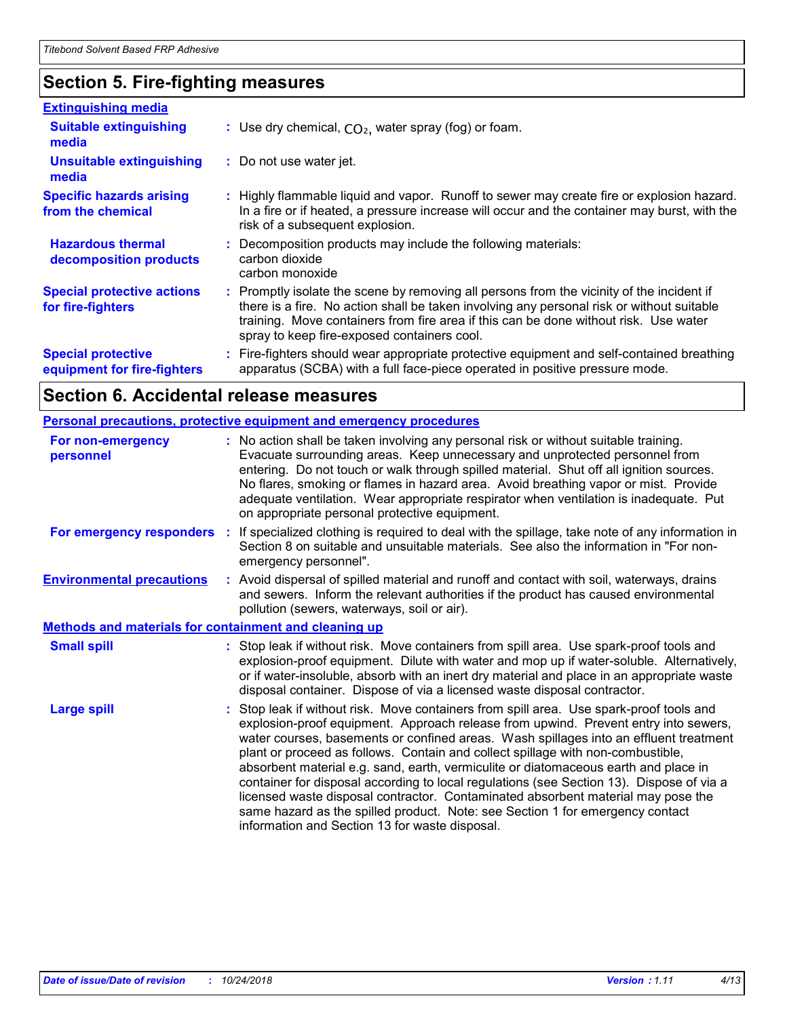## **Section 5. Fire-fighting measures**

| <b>Extinguishing media</b>                               |                                                                                                                                                                                                                                                                                                                               |
|----------------------------------------------------------|-------------------------------------------------------------------------------------------------------------------------------------------------------------------------------------------------------------------------------------------------------------------------------------------------------------------------------|
| <b>Suitable extinguishing</b><br>media                   | : Use dry chemical, $CO2$ , water spray (fog) or foam.                                                                                                                                                                                                                                                                        |
| <b>Unsuitable extinguishing</b><br>media                 | : Do not use water jet.                                                                                                                                                                                                                                                                                                       |
| <b>Specific hazards arising</b><br>from the chemical     | : Highly flammable liquid and vapor. Runoff to sewer may create fire or explosion hazard.<br>In a fire or if heated, a pressure increase will occur and the container may burst, with the<br>risk of a subsequent explosion.                                                                                                  |
| <b>Hazardous thermal</b><br>decomposition products       | : Decomposition products may include the following materials:<br>carbon dioxide<br>carbon monoxide                                                                                                                                                                                                                            |
| <b>Special protective actions</b><br>for fire-fighters   | : Promptly isolate the scene by removing all persons from the vicinity of the incident if<br>there is a fire. No action shall be taken involving any personal risk or without suitable<br>training. Move containers from fire area if this can be done without risk. Use water<br>spray to keep fire-exposed containers cool. |
| <b>Special protective</b><br>equipment for fire-fighters | Fire-fighters should wear appropriate protective equipment and self-contained breathing<br>apparatus (SCBA) with a full face-piece operated in positive pressure mode.                                                                                                                                                        |

## **Section 6. Accidental release measures**

|                                                              | <b>Personal precautions, protective equipment and emergency procedures</b>                                                                                                                                                                                                                                                                                                                                                                                                                                                                                                                                                                                                                                                                                         |
|--------------------------------------------------------------|--------------------------------------------------------------------------------------------------------------------------------------------------------------------------------------------------------------------------------------------------------------------------------------------------------------------------------------------------------------------------------------------------------------------------------------------------------------------------------------------------------------------------------------------------------------------------------------------------------------------------------------------------------------------------------------------------------------------------------------------------------------------|
| For non-emergency<br>personnel                               | : No action shall be taken involving any personal risk or without suitable training.<br>Evacuate surrounding areas. Keep unnecessary and unprotected personnel from<br>entering. Do not touch or walk through spilled material. Shut off all ignition sources.<br>No flares, smoking or flames in hazard area. Avoid breathing vapor or mist. Provide<br>adequate ventilation. Wear appropriate respirator when ventilation is inadequate. Put<br>on appropriate personal protective equipment.                                                                                                                                                                                                                                                                    |
| For emergency responders                                     | : If specialized clothing is required to deal with the spillage, take note of any information in<br>Section 8 on suitable and unsuitable materials. See also the information in "For non-<br>emergency personnel".                                                                                                                                                                                                                                                                                                                                                                                                                                                                                                                                                 |
| <b>Environmental precautions</b>                             | : Avoid dispersal of spilled material and runoff and contact with soil, waterways, drains<br>and sewers. Inform the relevant authorities if the product has caused environmental<br>pollution (sewers, waterways, soil or air).                                                                                                                                                                                                                                                                                                                                                                                                                                                                                                                                    |
| <b>Methods and materials for containment and cleaning up</b> |                                                                                                                                                                                                                                                                                                                                                                                                                                                                                                                                                                                                                                                                                                                                                                    |
| <b>Small spill</b>                                           | : Stop leak if without risk. Move containers from spill area. Use spark-proof tools and<br>explosion-proof equipment. Dilute with water and mop up if water-soluble. Alternatively,<br>or if water-insoluble, absorb with an inert dry material and place in an appropriate waste<br>disposal container. Dispose of via a licensed waste disposal contractor.                                                                                                                                                                                                                                                                                                                                                                                                      |
| <b>Large spill</b>                                           | Stop leak if without risk. Move containers from spill area. Use spark-proof tools and<br>explosion-proof equipment. Approach release from upwind. Prevent entry into sewers,<br>water courses, basements or confined areas. Wash spillages into an effluent treatment<br>plant or proceed as follows. Contain and collect spillage with non-combustible,<br>absorbent material e.g. sand, earth, vermiculite or diatomaceous earth and place in<br>container for disposal according to local regulations (see Section 13). Dispose of via a<br>licensed waste disposal contractor. Contaminated absorbent material may pose the<br>same hazard as the spilled product. Note: see Section 1 for emergency contact<br>information and Section 13 for waste disposal. |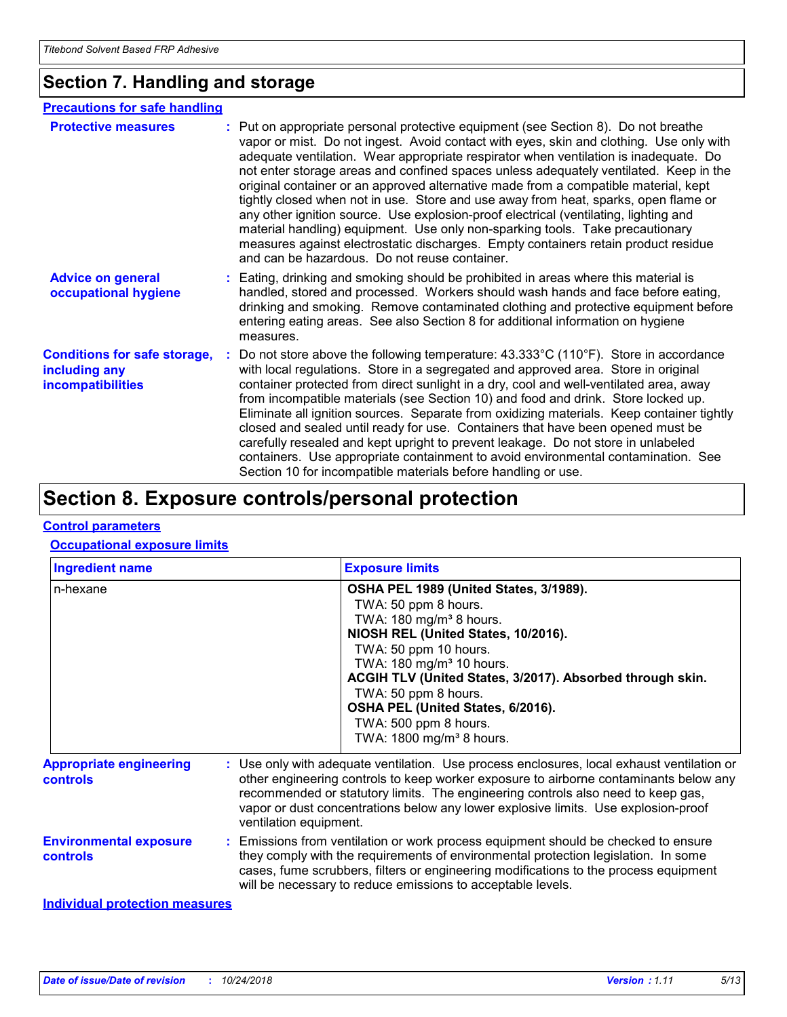### **Section 7. Handling and storage**

#### **Precautions for safe handling**

| <b>Protective measures</b>                                                       | : Put on appropriate personal protective equipment (see Section 8). Do not breathe<br>vapor or mist. Do not ingest. Avoid contact with eyes, skin and clothing. Use only with<br>adequate ventilation. Wear appropriate respirator when ventilation is inadequate. Do<br>not enter storage areas and confined spaces unless adequately ventilated. Keep in the<br>original container or an approved alternative made from a compatible material, kept<br>tightly closed when not in use. Store and use away from heat, sparks, open flame or<br>any other ignition source. Use explosion-proof electrical (ventilating, lighting and<br>material handling) equipment. Use only non-sparking tools. Take precautionary<br>measures against electrostatic discharges. Empty containers retain product residue<br>and can be hazardous. Do not reuse container. |
|----------------------------------------------------------------------------------|--------------------------------------------------------------------------------------------------------------------------------------------------------------------------------------------------------------------------------------------------------------------------------------------------------------------------------------------------------------------------------------------------------------------------------------------------------------------------------------------------------------------------------------------------------------------------------------------------------------------------------------------------------------------------------------------------------------------------------------------------------------------------------------------------------------------------------------------------------------|
| <b>Advice on general</b><br>occupational hygiene                                 | : Eating, drinking and smoking should be prohibited in areas where this material is<br>handled, stored and processed. Workers should wash hands and face before eating,<br>drinking and smoking. Remove contaminated clothing and protective equipment before<br>entering eating areas. See also Section 8 for additional information on hygiene<br>measures.                                                                                                                                                                                                                                                                                                                                                                                                                                                                                                |
| <b>Conditions for safe storage,</b><br>including any<br><b>incompatibilities</b> | : Do not store above the following temperature: $43.333^{\circ}$ C (110°F). Store in accordance<br>with local regulations. Store in a segregated and approved area. Store in original<br>container protected from direct sunlight in a dry, cool and well-ventilated area, away<br>from incompatible materials (see Section 10) and food and drink. Store locked up.<br>Eliminate all ignition sources. Separate from oxidizing materials. Keep container tightly<br>closed and sealed until ready for use. Containers that have been opened must be<br>carefully resealed and kept upright to prevent leakage. Do not store in unlabeled<br>containers. Use appropriate containment to avoid environmental contamination. See<br>Section 10 for incompatible materials before handling or use.                                                              |

## **Section 8. Exposure controls/personal protection**

#### **Control parameters**

#### **Occupational exposure limits**

| <b>Ingredient name</b>                           | <b>Exposure limits</b>                                                                                                                                                                                                                                                                                                                                                                                  |
|--------------------------------------------------|---------------------------------------------------------------------------------------------------------------------------------------------------------------------------------------------------------------------------------------------------------------------------------------------------------------------------------------------------------------------------------------------------------|
| n-hexane                                         | OSHA PEL 1989 (United States, 3/1989).<br>TWA: 50 ppm 8 hours.<br>TWA: $180 \text{ mg/m}^3$ 8 hours.<br>NIOSH REL (United States, 10/2016).<br>TWA: 50 ppm 10 hours.<br>TWA: 180 mg/m <sup>3</sup> 10 hours.<br>ACGIH TLV (United States, 3/2017). Absorbed through skin.<br>TWA: 50 ppm 8 hours.<br>OSHA PEL (United States, 6/2016).<br>TWA: 500 ppm 8 hours.<br>TWA: 1800 mg/m <sup>3</sup> 8 hours. |
| <b>Appropriate engineering</b><br>controls       | : Use only with adequate ventilation. Use process enclosures, local exhaust ventilation or<br>other engineering controls to keep worker exposure to airborne contaminants below any<br>recommended or statutory limits. The engineering controls also need to keep gas,<br>vapor or dust concentrations below any lower explosive limits. Use explosion-proof<br>ventilation equipment.                 |
| <b>Environmental exposure</b><br><b>controls</b> | : Emissions from ventilation or work process equipment should be checked to ensure<br>they comply with the requirements of environmental protection legislation. In some<br>cases, fume scrubbers, filters or engineering modifications to the process equipment<br>will be necessary to reduce emissions to acceptable levels.                                                                         |

#### **Individual protection measures**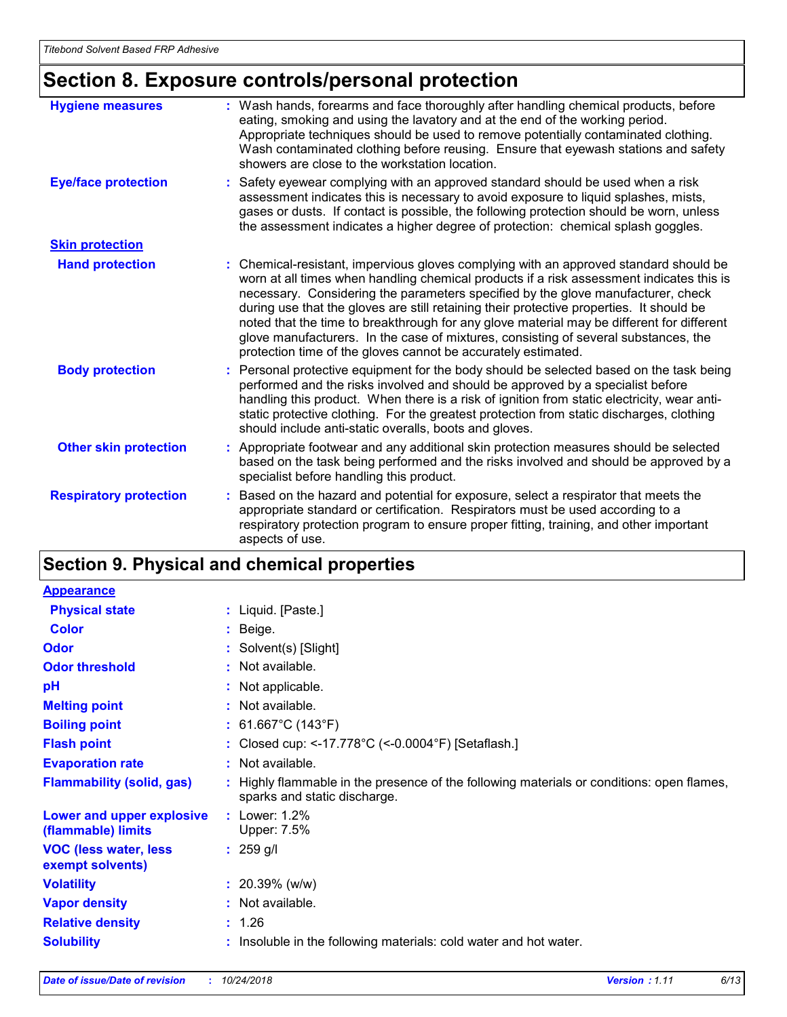## **Section 8. Exposure controls/personal protection**

| <b>Hygiene measures</b>       | : Wash hands, forearms and face thoroughly after handling chemical products, before<br>eating, smoking and using the lavatory and at the end of the working period.<br>Appropriate techniques should be used to remove potentially contaminated clothing.<br>Wash contaminated clothing before reusing. Ensure that eyewash stations and safety<br>showers are close to the workstation location.                                                                                                                                                                                                                      |
|-------------------------------|------------------------------------------------------------------------------------------------------------------------------------------------------------------------------------------------------------------------------------------------------------------------------------------------------------------------------------------------------------------------------------------------------------------------------------------------------------------------------------------------------------------------------------------------------------------------------------------------------------------------|
| <b>Eye/face protection</b>    | : Safety eyewear complying with an approved standard should be used when a risk<br>assessment indicates this is necessary to avoid exposure to liquid splashes, mists,<br>gases or dusts. If contact is possible, the following protection should be worn, unless<br>the assessment indicates a higher degree of protection: chemical splash goggles.                                                                                                                                                                                                                                                                  |
| <b>Skin protection</b>        |                                                                                                                                                                                                                                                                                                                                                                                                                                                                                                                                                                                                                        |
| <b>Hand protection</b>        | : Chemical-resistant, impervious gloves complying with an approved standard should be<br>worn at all times when handling chemical products if a risk assessment indicates this is<br>necessary. Considering the parameters specified by the glove manufacturer, check<br>during use that the gloves are still retaining their protective properties. It should be<br>noted that the time to breakthrough for any glove material may be different for different<br>glove manufacturers. In the case of mixtures, consisting of several substances, the<br>protection time of the gloves cannot be accurately estimated. |
| <b>Body protection</b>        | : Personal protective equipment for the body should be selected based on the task being<br>performed and the risks involved and should be approved by a specialist before<br>handling this product. When there is a risk of ignition from static electricity, wear anti-<br>static protective clothing. For the greatest protection from static discharges, clothing<br>should include anti-static overalls, boots and gloves.                                                                                                                                                                                         |
| <b>Other skin protection</b>  | : Appropriate footwear and any additional skin protection measures should be selected<br>based on the task being performed and the risks involved and should be approved by a<br>specialist before handling this product.                                                                                                                                                                                                                                                                                                                                                                                              |
| <b>Respiratory protection</b> | : Based on the hazard and potential for exposure, select a respirator that meets the<br>appropriate standard or certification. Respirators must be used according to a<br>respiratory protection program to ensure proper fitting, training, and other important<br>aspects of use.                                                                                                                                                                                                                                                                                                                                    |

## **Section 9. Physical and chemical properties**

| <b>Appearance</b>                                 |                                                                                                                           |
|---------------------------------------------------|---------------------------------------------------------------------------------------------------------------------------|
| <b>Physical state</b>                             | : Liquid. $[{\sf Paste.}]$                                                                                                |
| <b>Color</b>                                      | $:$ Beige.                                                                                                                |
| Odor                                              | : Solvent(s) [Slight]                                                                                                     |
| <b>Odor threshold</b>                             | : Not available.                                                                                                          |
| pH                                                | : Not applicable.                                                                                                         |
| <b>Melting point</b>                              | : Not available.                                                                                                          |
| <b>Boiling point</b>                              | : 61.667 $^{\circ}$ C (143 $^{\circ}$ F)                                                                                  |
| <b>Flash point</b>                                | : Closed cup: <-17.778°C (<-0.0004°F) [Setaflash.]                                                                        |
| <b>Evaporation rate</b>                           | : Not available.                                                                                                          |
| <b>Flammability (solid, gas)</b>                  | : Highly flammable in the presence of the following materials or conditions: open flames,<br>sparks and static discharge. |
| Lower and upper explosive<br>(flammable) limits   | : Lower: $1.2\%$<br>Upper: 7.5%                                                                                           |
| <b>VOC (less water, less)</b><br>exempt solvents) | $: 259$ g/l                                                                                                               |
| <b>Volatility</b>                                 | $: 20.39\%$ (w/w)                                                                                                         |
| <b>Vapor density</b>                              | : Not available.                                                                                                          |
| <b>Relative density</b>                           | : 1.26                                                                                                                    |
| <b>Solubility</b>                                 | : Insoluble in the following materials: cold water and hot water.                                                         |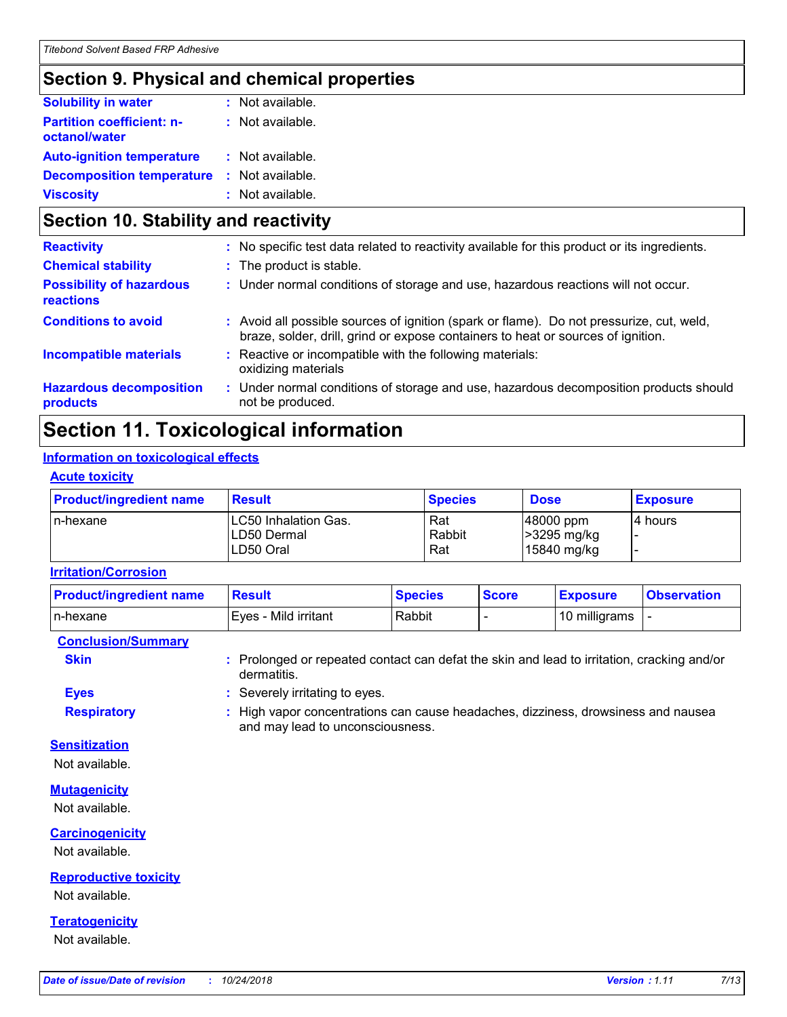### **Section 9. Physical and chemical properties**

| <b>Solubility in water</b>                        | : Not available. |
|---------------------------------------------------|------------------|
| <b>Partition coefficient: n-</b><br>octanol/water | : Not available. |
| <b>Auto-ignition temperature</b>                  | : Not available. |
| <b>Decomposition temperature</b>                  | : Not available. |
| <b>Viscosity</b>                                  | : Not available. |

### **Section 10. Stability and reactivity**

| <b>Chemical stability</b><br>: The product is stable.<br><b>Possibility of hazardous</b><br>: Under normal conditions of storage and use, hazardous reactions will not occur.<br>reactions<br><b>Conditions to avoid</b><br>Avoid all possible sources of ignition (spark or flame). Do not pressurize, cut, weld,<br>braze, solder, drill, grind or expose containers to heat or sources of ignition.<br><b>Incompatible materials</b><br>Reactive or incompatible with the following materials:<br>oxidizing materials<br><b>Hazardous decomposition</b><br>Under normal conditions of storage and use, hazardous decomposition products should<br>t.<br>not be produced.<br>products | <b>Reactivity</b> | : No specific test data related to reactivity available for this product or its ingredients. |
|-----------------------------------------------------------------------------------------------------------------------------------------------------------------------------------------------------------------------------------------------------------------------------------------------------------------------------------------------------------------------------------------------------------------------------------------------------------------------------------------------------------------------------------------------------------------------------------------------------------------------------------------------------------------------------------------|-------------------|----------------------------------------------------------------------------------------------|
|                                                                                                                                                                                                                                                                                                                                                                                                                                                                                                                                                                                                                                                                                         |                   |                                                                                              |
|                                                                                                                                                                                                                                                                                                                                                                                                                                                                                                                                                                                                                                                                                         |                   |                                                                                              |
|                                                                                                                                                                                                                                                                                                                                                                                                                                                                                                                                                                                                                                                                                         |                   |                                                                                              |
|                                                                                                                                                                                                                                                                                                                                                                                                                                                                                                                                                                                                                                                                                         |                   |                                                                                              |
|                                                                                                                                                                                                                                                                                                                                                                                                                                                                                                                                                                                                                                                                                         |                   |                                                                                              |

### **Section 11. Toxicological information**

#### **Information on toxicological effects**

#### **Acute toxicity**

| <b>Product/ingredient name</b> | <b>Result</b>                                    | <b>Species</b>       | <b>Dose</b>                                      | <b>Exposure</b> |
|--------------------------------|--------------------------------------------------|----------------------|--------------------------------------------------|-----------------|
| In-hexane                      | LC50 Inhalation Gas.<br>LD50 Dermal<br>LD50 Oral | Rat<br>Rabbit<br>Rat | $ 48000$ ppm<br>$\geq$ 3295 mg/kg<br>15840 mg/kg | 4 hours         |

#### **Irritation/Corrosion**

| <b>Product/ingredient name</b> | <b>Result</b>        | <b>Species</b> | <b>Score</b> | <b>Exposure</b> | <b>Observation</b> |
|--------------------------------|----------------------|----------------|--------------|-----------------|--------------------|
| In-hexane                      | Eves - Mild irritant | Rabbit         |              | 10 milligrams   |                    |

**Conclusion/Summary**

**Skin :** Prolonged or repeated contact can defat the skin and lead to irritation, cracking and/or dermatitis.

**Eyes :** Severely irritating to eyes.

**Respiratory :** High vapor concentrations can cause headaches, dizziness, drowsiness and nausea and may lead to unconsciousness.

#### **Sensitization**

Not available.

#### **Mutagenicity**

Not available.

#### **Carcinogenicity**

Not available.

#### **Reproductive toxicity**

Not available.

#### **Teratogenicity**

Not available.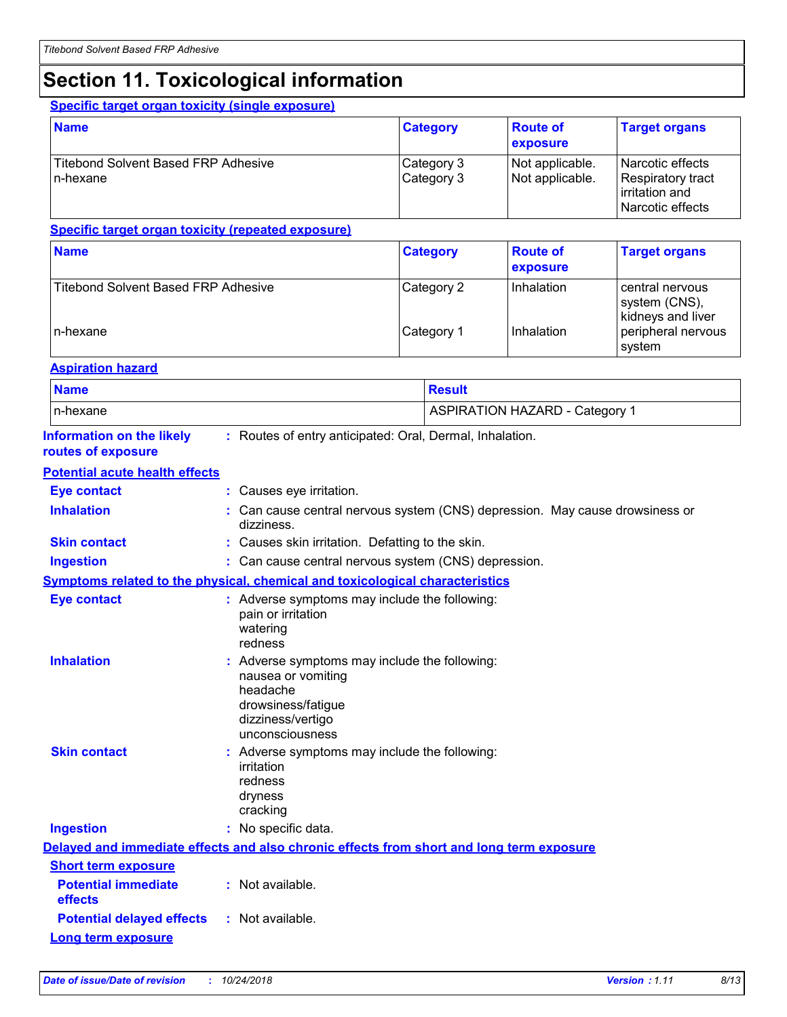## **Section 11. Toxicological information**

#### **Specific target organ toxicity (single exposure)**

| <b>Name</b>                                              | <b>Category</b>          | <b>Route of</b><br>exposure        | <b>Target organs</b>                                                       |
|----------------------------------------------------------|--------------------------|------------------------------------|----------------------------------------------------------------------------|
| <b>Titebond Solvent Based FRP Adhesive</b><br>l n-hexane | Category 3<br>Category 3 | Not applicable.<br>Not applicable. | Narcotic effects<br>Respiratory tract<br>rritation and<br>Narcotic effects |

#### **Specific target organ toxicity (repeated exposure)**

| <b>Name</b>                         | <b>Category</b> | <b>Route of</b><br>exposure | <b>Target organs</b>                                    |
|-------------------------------------|-----------------|-----------------------------|---------------------------------------------------------|
| Titebond Solvent Based FRP Adhesive | Category 2      | Inhalation                  | I central nervous<br>system (CNS),<br>kidneys and liver |
| n-hexane                            | Category 1      | Inhalation                  | peripheral nervous<br>system                            |

#### **Aspiration hazard**

| <b>Name</b>                                            |                                                                                                                                               | <b>Result</b>                                                                            |
|--------------------------------------------------------|-----------------------------------------------------------------------------------------------------------------------------------------------|------------------------------------------------------------------------------------------|
| n-hexane                                               |                                                                                                                                               | <b>ASPIRATION HAZARD - Category 1</b>                                                    |
| <b>Information on the likely</b><br>routes of exposure | : Routes of entry anticipated: Oral, Dermal, Inhalation.                                                                                      |                                                                                          |
| <b>Potential acute health effects</b>                  |                                                                                                                                               |                                                                                          |
| <b>Eye contact</b>                                     | : Causes eye irritation.                                                                                                                      |                                                                                          |
| <b>Inhalation</b>                                      | dizziness.                                                                                                                                    | : Can cause central nervous system (CNS) depression. May cause drowsiness or             |
| <b>Skin contact</b>                                    | : Causes skin irritation. Defatting to the skin.                                                                                              |                                                                                          |
| <b>Ingestion</b>                                       | : Can cause central nervous system (CNS) depression.                                                                                          |                                                                                          |
|                                                        | Symptoms related to the physical, chemical and toxicological characteristics                                                                  |                                                                                          |
| <b>Eye contact</b>                                     | : Adverse symptoms may include the following:<br>pain or irritation<br>watering<br>redness                                                    |                                                                                          |
| <b>Inhalation</b>                                      | : Adverse symptoms may include the following:<br>nausea or vomiting<br>headache<br>drowsiness/fatigue<br>dizziness/vertigo<br>unconsciousness |                                                                                          |
| <b>Skin contact</b>                                    | : Adverse symptoms may include the following:<br>irritation<br>redness<br>dryness<br>cracking                                                 |                                                                                          |
| <b>Ingestion</b>                                       | : No specific data.                                                                                                                           |                                                                                          |
|                                                        |                                                                                                                                               | Delayed and immediate effects and also chronic effects from short and long term exposure |
| <b>Short term exposure</b>                             |                                                                                                                                               |                                                                                          |
| <b>Potential immediate</b><br><b>effects</b>           | : Not available.                                                                                                                              |                                                                                          |
| <b>Potential delayed effects</b>                       | : Not available.                                                                                                                              |                                                                                          |
| <b>Long term exposure</b>                              |                                                                                                                                               |                                                                                          |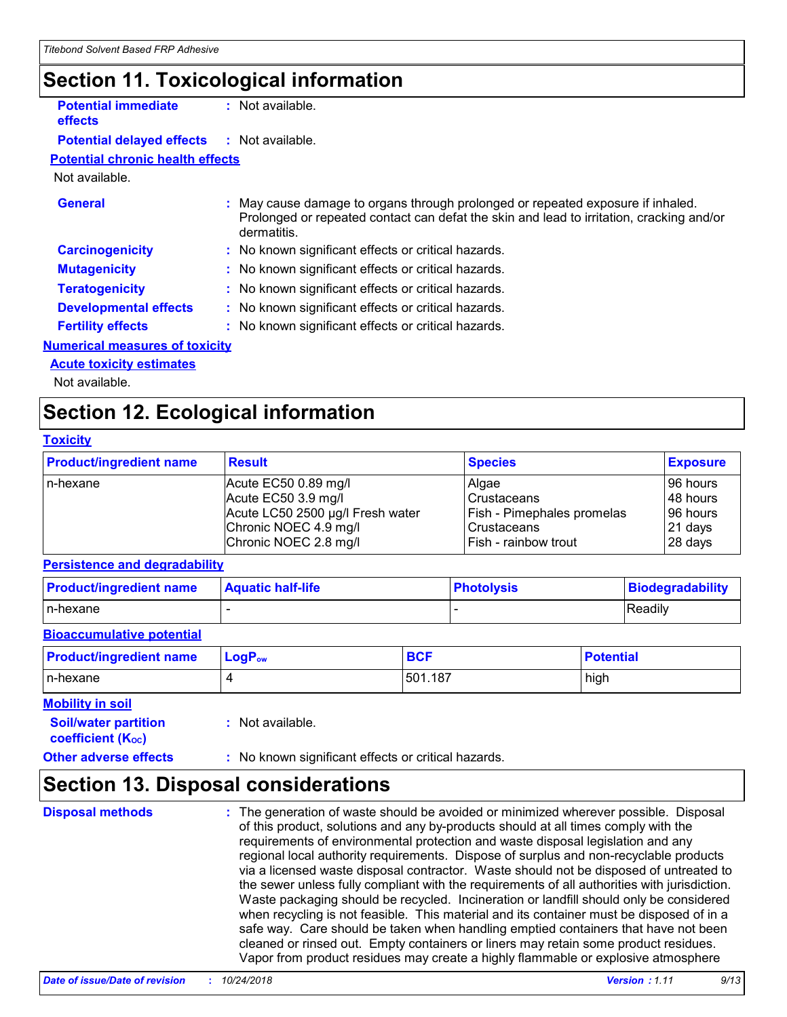## **Section 11. Toxicological information**

| <b>Potential immediate</b> | : Not available. |
|----------------------------|------------------|
| effects                    |                  |

**Potential delayed effects :** Not available.

#### **Potential chronic health effects**

#### Not available.

| <b>General</b>                        | : May cause damage to organs through prolonged or repeated exposure if inhaled.<br>Prolonged or repeated contact can defat the skin and lead to irritation, cracking and/or<br>dermatitis. |
|---------------------------------------|--------------------------------------------------------------------------------------------------------------------------------------------------------------------------------------------|
| <b>Carcinogenicity</b>                | : No known significant effects or critical hazards.                                                                                                                                        |
| <b>Mutagenicity</b>                   | : No known significant effects or critical hazards.                                                                                                                                        |
| <b>Teratogenicity</b>                 | : No known significant effects or critical hazards.                                                                                                                                        |
| <b>Developmental effects</b>          | : No known significant effects or critical hazards.                                                                                                                                        |
| <b>Fertility effects</b>              | : No known significant effects or critical hazards.                                                                                                                                        |
| <b>Numerical measures of toxicity</b> |                                                                                                                                                                                            |

#### **Acute toxicity estimates**

Not available.

### **Section 12. Ecological information**

#### **Toxicity**

| <b>Product/ingredient name</b> | <b>Result</b>                    | <b>Species</b>                    | <b>Exposure</b> |
|--------------------------------|----------------------------------|-----------------------------------|-----------------|
| l n-hexane                     | Acute EC50 0.89 mg/l             | Algae                             | 96 hours        |
|                                | Acute EC50 3.9 mg/l              | <b>Crustaceans</b>                | 48 hours        |
|                                | Acute LC50 2500 µg/l Fresh water | <b>Fish - Pimephales promelas</b> | l 96 hours      |
|                                | Chronic NOEC 4.9 mg/l            | <b>Crustaceans</b>                | 21 days         |
|                                | Chronic NOEC 2.8 mg/l            | Fish - rainbow trout              | 28 days         |

#### **Persistence and degradability**

| <b>Product/ingredient name</b> | <b>Aquatic half-life</b> | <b>Photolysis</b> | Biodegradability |
|--------------------------------|--------------------------|-------------------|------------------|
| In-hexane                      |                          |                   | Readily          |

#### **Bioaccumulative potential**

| <b>Product/ingredient name</b> | $LogP_{ow}$ | <b>BCF</b> | <b>Potential</b> |
|--------------------------------|-------------|------------|------------------|
| In-hexane                      |             | 501.187    | high             |

#### **Soil/water partition Mobility in soil**

**coefficient (Koc)** 

**:** Not available.

#### **Other adverse effects** : No known significant effects or critical hazards.

### **Section 13. Disposal considerations**

**Disposal methods :**

The generation of waste should be avoided or minimized wherever possible. Disposal of this product, solutions and any by-products should at all times comply with the requirements of environmental protection and waste disposal legislation and any regional local authority requirements. Dispose of surplus and non-recyclable products via a licensed waste disposal contractor. Waste should not be disposed of untreated to the sewer unless fully compliant with the requirements of all authorities with jurisdiction. Waste packaging should be recycled. Incineration or landfill should only be considered when recycling is not feasible. This material and its container must be disposed of in a safe way. Care should be taken when handling emptied containers that have not been cleaned or rinsed out. Empty containers or liners may retain some product residues. Vapor from product residues may create a highly flammable or explosive atmosphere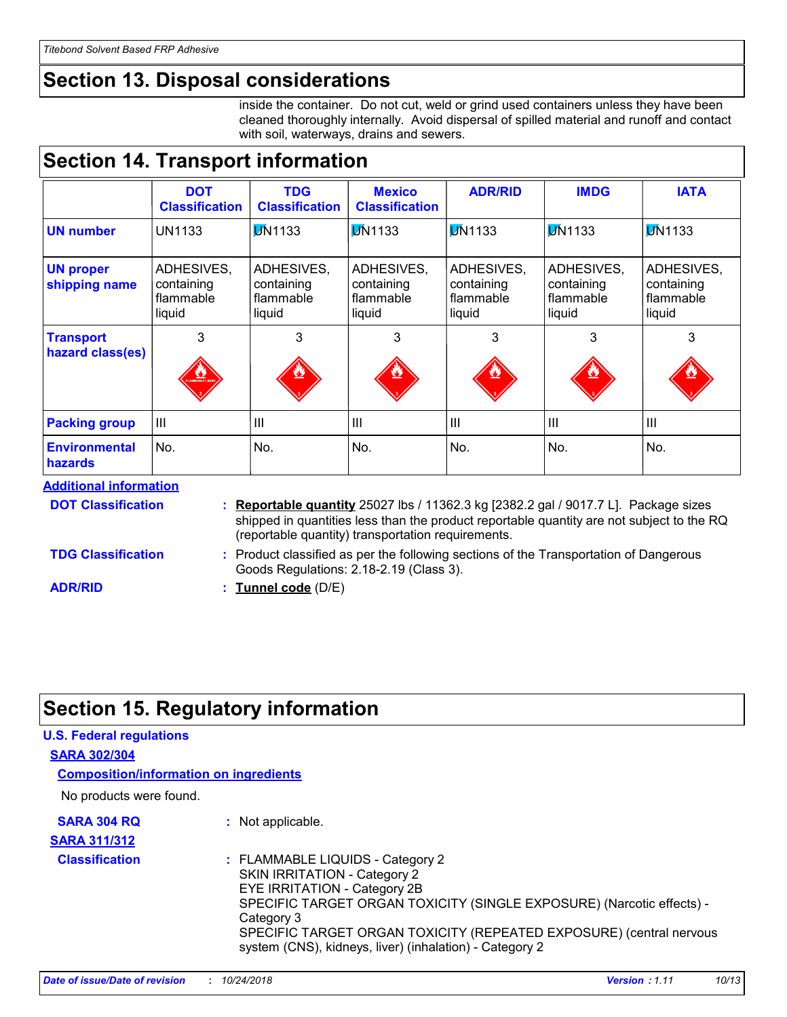## **Section 13. Disposal considerations**

inside the container. Do not cut, weld or grind used containers unless they have been cleaned thoroughly internally. Avoid dispersal of spilled material and runoff and contact with soil, waterways, drains and sewers.

## **Section 14. Transport information**

|                                      | <b>DOT</b><br><b>Classification</b>             | <b>TDG</b><br><b>Classification</b>                                                                                                                                                                                                         | <b>Mexico</b><br><b>Classification</b>          | <b>ADR/RID</b>                                                                                     | <b>IMDG</b>    | <b>IATA</b><br><b>DN1133</b>                    |
|--------------------------------------|-------------------------------------------------|---------------------------------------------------------------------------------------------------------------------------------------------------------------------------------------------------------------------------------------------|-------------------------------------------------|----------------------------------------------------------------------------------------------------|----------------|-------------------------------------------------|
| <b>UN number</b>                     | <b>UN1133</b>                                   | <b>DN1133</b>                                                                                                                                                                                                                               | <b>DN1133</b>                                   | <b>DN1133</b>                                                                                      | <b>DN1133</b>  |                                                 |
| <b>UN proper</b><br>shipping name    | ADHESIVES,<br>containing<br>flammable<br>liquid | ADHESIVES,<br>containing<br>flammable<br>liquid                                                                                                                                                                                             | ADHESIVES,<br>containing<br>flammable<br>liquid | ADHESIVES,<br>ADHESIVES,<br>containing<br>containing<br>flammable<br>flammable<br>liquid<br>liquid |                | ADHESIVES,<br>containing<br>flammable<br>liquid |
| <b>Transport</b><br>hazard class(es) | 3                                               | 3                                                                                                                                                                                                                                           | 3                                               | 3                                                                                                  | 3              | 3                                               |
| <b>Packing group</b>                 | III                                             | $\mathbf{III}$                                                                                                                                                                                                                              | III                                             | $\mathbf{III}$                                                                                     | $\mathbf{III}$ | III                                             |
| <b>Environmental</b><br>hazards      | No.                                             | No.                                                                                                                                                                                                                                         | No.                                             | No.                                                                                                | No.            | No.                                             |
| <b>Additional information</b>        |                                                 |                                                                                                                                                                                                                                             |                                                 |                                                                                                    |                |                                                 |
| <b>DOT Classification</b>            |                                                 | <b>Reportable quantity</b> 25027 lbs / 11362.3 kg [2382.2 gal / 9017.7 L]. Package sizes<br>shipped in quantities less than the product reportable quantity are not subject to the RQ<br>(reportable quantity) transportation requirements. |                                                 |                                                                                                    |                |                                                 |
| <b>TDG Classification</b>            |                                                 | : Product classified as per the following sections of the Transportation of Dangerous                                                                                                                                                       |                                                 |                                                                                                    |                |                                                 |

Product classified as per the following sections of the Transportation of Dangerous Goods Regulations: 2.18-2.19 (Class 3). **:**

**Tunnel code** (D/E) **:**

## **Section 15. Regulatory information**

**ADR/RID**

| <b>U.S. Federal regulations</b>               |                                                                                                                                                                                                                                                                                                                                  |
|-----------------------------------------------|----------------------------------------------------------------------------------------------------------------------------------------------------------------------------------------------------------------------------------------------------------------------------------------------------------------------------------|
| <b>SARA 302/304</b>                           |                                                                                                                                                                                                                                                                                                                                  |
| <b>Composition/information on ingredients</b> |                                                                                                                                                                                                                                                                                                                                  |
| No products were found.                       |                                                                                                                                                                                                                                                                                                                                  |
| <b>SARA 304 RQ</b>                            | : Not applicable.                                                                                                                                                                                                                                                                                                                |
| <b>SARA 311/312</b>                           |                                                                                                                                                                                                                                                                                                                                  |
| <b>Classification</b>                         | : FLAMMABLE LIQUIDS - Category 2<br>SKIN IRRITATION - Category 2<br><b>EYE IRRITATION - Category 2B</b><br>SPECIFIC TARGET ORGAN TOXICITY (SINGLE EXPOSURE) (Narcotic effects) -<br>Category 3<br>SPECIFIC TARGET ORGAN TOXICITY (REPEATED EXPOSURE) (central nervous<br>system (CNS), kidneys, liver) (inhalation) - Category 2 |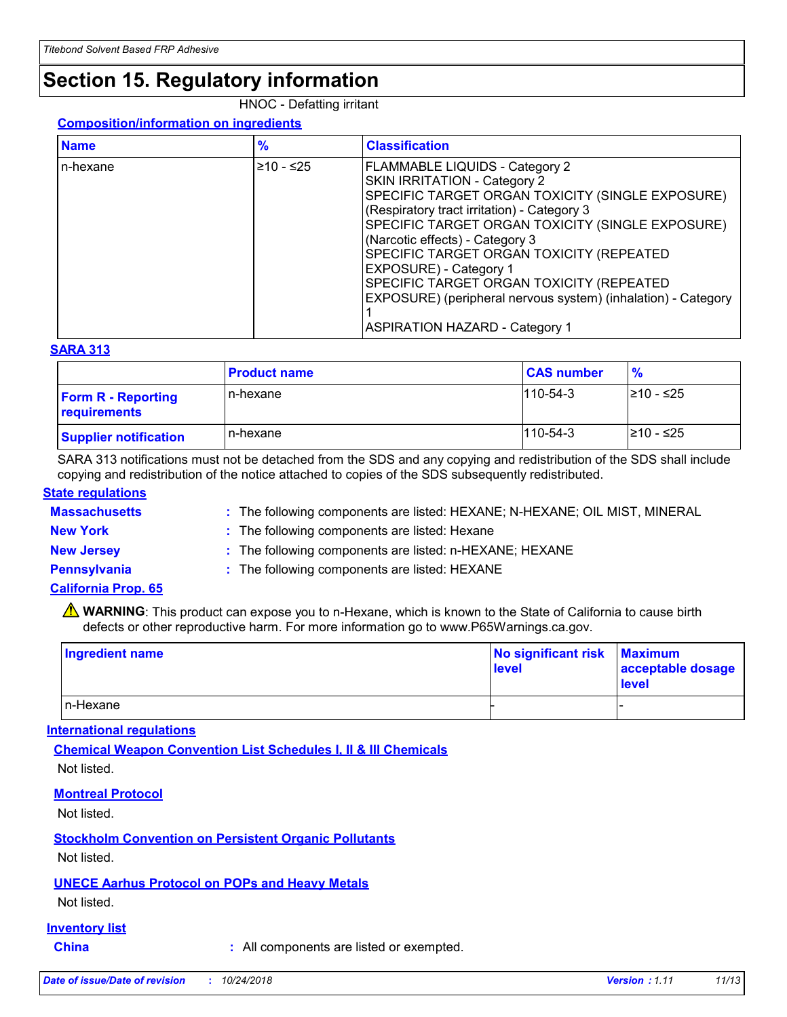## **Section 15. Regulatory information**

#### HNOC - Defatting irritant

#### **Composition/information on ingredients**

| <b>Name</b> | $\frac{9}{6}$ | <b>Classification</b>                                                                                                                                                                                                                                                                                                                                                                                                                                                                       |
|-------------|---------------|---------------------------------------------------------------------------------------------------------------------------------------------------------------------------------------------------------------------------------------------------------------------------------------------------------------------------------------------------------------------------------------------------------------------------------------------------------------------------------------------|
| n-hexane    | $≥10 - ≤25$   | <b>FLAMMABLE LIQUIDS - Category 2</b><br>SKIN IRRITATION - Category 2<br>SPECIFIC TARGET ORGAN TOXICITY (SINGLE EXPOSURE)<br>(Respiratory tract irritation) - Category 3<br>SPECIFIC TARGET ORGAN TOXICITY (SINGLE EXPOSURE)<br>(Narcotic effects) - Category 3<br>SPECIFIC TARGET ORGAN TOXICITY (REPEATED<br>EXPOSURE) - Category 1<br>SPECIFIC TARGET ORGAN TOXICITY (REPEATED<br>EXPOSURE) (peripheral nervous system) (inhalation) - Category<br><b>ASPIRATION HAZARD - Category 1</b> |

#### **SARA 313**

|                                           | <b>Product name</b> | <b>CAS number</b> | $\frac{9}{6}$ |
|-------------------------------------------|---------------------|-------------------|---------------|
| <b>Form R - Reporting</b><br>requirements | n-hexane            | $1110 - 54 - 3$   | l≥10 - ≤25    |
| <b>Supplier notification</b>              | n-hexane            | $1110 - 54 - 3$   | 210 - ≤25     |

SARA 313 notifications must not be detached from the SDS and any copying and redistribution of the SDS shall include copying and redistribution of the notice attached to copies of the SDS subsequently redistributed.

#### **State regulations**

**Massachusetts :**

: The following components are listed: HEXANE; N-HEXANE; OIL MIST, MINERAL

**New York :** The following components are listed: Hexane

**New Jersey :** The following components are listed: n-HEXANE; HEXANE

- 
- **Pennsylvania :** The following components are listed: HEXANE

#### **California Prop. 65**

WARNING: This product can expose you to n-Hexane, which is known to the State of California to cause birth defects or other reproductive harm. For more information go to www.P65Warnings.ca.gov.

| Ingredient name | No significant risk<br>level | <b>Maximum</b><br>acceptable dosage<br><b>level</b> |
|-----------------|------------------------------|-----------------------------------------------------|
| $In-Hexane$     |                              |                                                     |

#### **International regulations**

**Chemical Weapon Convention List Schedules I, II & III Chemicals** Not listed.

#### **Montreal Protocol**

Not listed.

**Stockholm Convention on Persistent Organic Pollutants**

Not listed.

#### **UNECE Aarhus Protocol on POPs and Heavy Metals**

Not listed.

#### **Inventory list**

**China :** All components are listed or exempted.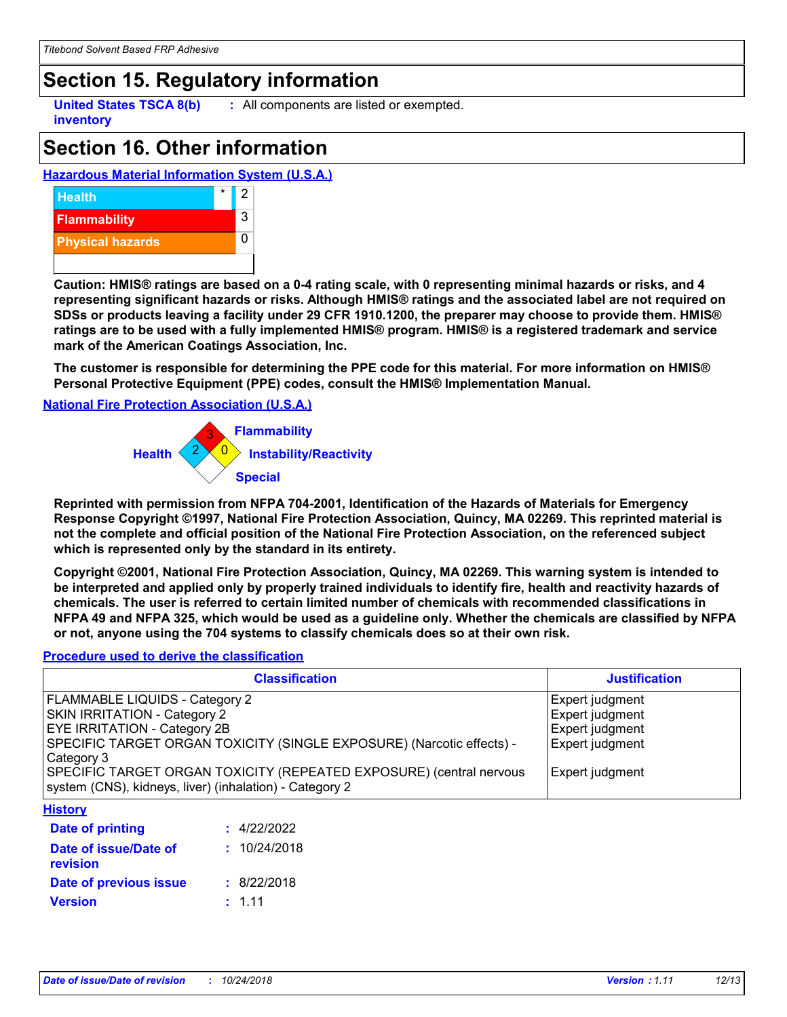## **Section 15. Regulatory information**

**United States TSCA 8(b) inventory**

**:** All components are listed or exempted.

## **Section 16. Other information**

#### **Hazardous Material Information System (U.S.A.)**



**Caution: HMIS® ratings are based on a 0-4 rating scale, with 0 representing minimal hazards or risks, and 4 representing significant hazards or risks. Although HMIS® ratings and the associated label are not required on SDSs or products leaving a facility under 29 CFR 1910.1200, the preparer may choose to provide them. HMIS® ratings are to be used with a fully implemented HMIS® program. HMIS® is a registered trademark and service mark of the American Coatings Association, Inc.**

**The customer is responsible for determining the PPE code for this material. For more information on HMIS® Personal Protective Equipment (PPE) codes, consult the HMIS® Implementation Manual.**

#### **National Fire Protection Association (U.S.A.)**



**Reprinted with permission from NFPA 704-2001, Identification of the Hazards of Materials for Emergency Response Copyright ©1997, National Fire Protection Association, Quincy, MA 02269. This reprinted material is not the complete and official position of the National Fire Protection Association, on the referenced subject which is represented only by the standard in its entirety.**

**Copyright ©2001, National Fire Protection Association, Quincy, MA 02269. This warning system is intended to be interpreted and applied only by properly trained individuals to identify fire, health and reactivity hazards of chemicals. The user is referred to certain limited number of chemicals with recommended classifications in NFPA 49 and NFPA 325, which would be used as a guideline only. Whether the chemicals are classified by NFPA or not, anyone using the 704 systems to classify chemicals does so at their own risk.**

#### **Procedure used to derive the classification**

| <b>Classification</b>                                                                                                                                                                                                                                        | <b>Justification</b>                                                            |
|--------------------------------------------------------------------------------------------------------------------------------------------------------------------------------------------------------------------------------------------------------------|---------------------------------------------------------------------------------|
| FLAMMABLE LIQUIDS - Category 2<br>SKIN IRRITATION - Category 2<br>EYE IRRITATION - Category 2B<br>SPECIFIC TARGET ORGAN TOXICITY (SINGLE EXPOSURE) (Narcotic effects) -<br>Category 3<br>SPECIFIC TARGET ORGAN TOXICITY (REPEATED EXPOSURE) (central nervous | Expert judgment<br><b>Expert judgment</b><br>Expert judgment<br>Expert judgment |
| system (CNS), kidneys, liver) (inhalation) - Category 2<br><b>History</b>                                                                                                                                                                                    | Expert judgment                                                                 |

| Date of printing                  | : 4/22/2022  |
|-----------------------------------|--------------|
| Date of issue/Date of<br>revision | : 10/24/2018 |
| Date of previous issue            | : 8/22/2018  |
| <b>Version</b>                    | : 1.11       |